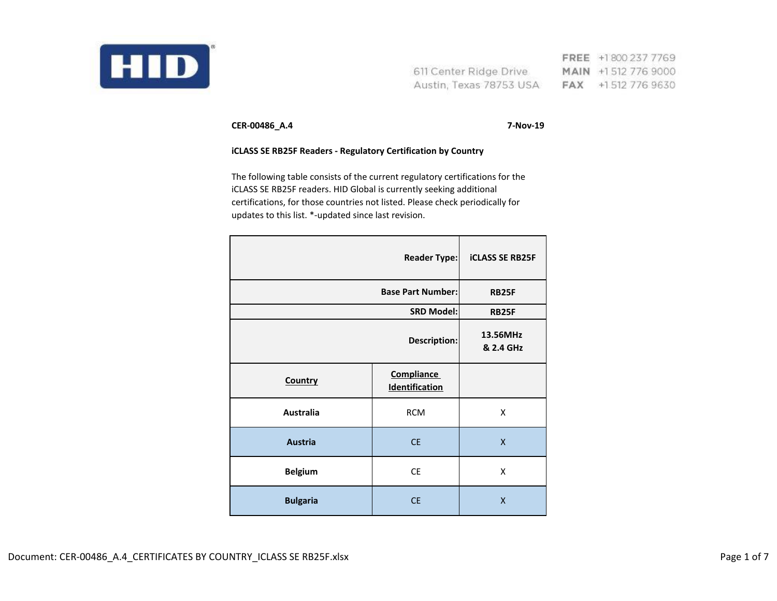

FREE +1800 237 7769 611 Center Ridge Drive MAIN +1512 776 9000 Austin, Texas 78753 USA FAX +1512 776 9630

**CER-00486\_A.4 7-Nov-19**

## **iCLASS SE RB25F Readers - Regulatory Certification by Country**

The following table consists of the current regulatory certifications for the iCLASS SE RB25F readers. HID Global is currently seeking additional certifications, for those countries not listed. Please check periodically for updates to this list. \*-updated since last revision.

| <b>Reader Type:</b>      |                                            | <b>iCLASS SE RB25F</b>  |
|--------------------------|--------------------------------------------|-------------------------|
| <b>Base Part Number:</b> |                                            | <b>RB25F</b>            |
|                          | <b>SRD Model:</b>                          | <b>RB25F</b>            |
| Description:             |                                            | 13.56MHz<br>& 2.4 GHz   |
| Country                  | <b>Compliance</b><br><b>Identification</b> |                         |
| <b>Australia</b>         | <b>RCM</b>                                 | X                       |
| <b>Austria</b>           | <b>CE</b>                                  | $\overline{\mathsf{X}}$ |
| <b>Belgium</b>           | CE                                         | X                       |
| <b>Bulgaria</b>          | <b>CE</b>                                  | X                       |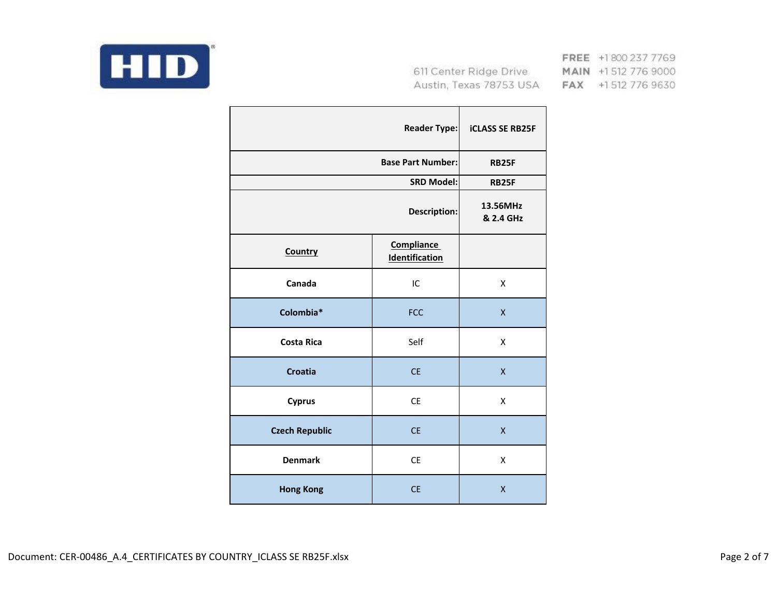

FREE +1800 237 7769 MAIN +1512 776 9000 FAX +1512 776 9630

|                          | <b>Reader Type:</b>          | <b>iCLASS SE RB25F</b> |
|--------------------------|------------------------------|------------------------|
| <b>Base Part Number:</b> |                              | <b>RB25F</b>           |
|                          | <b>SRD Model:</b>            | <b>RB25F</b>           |
|                          | <b>Description:</b>          | 13.56MHz<br>& 2.4 GHz  |
| <b>Country</b>           | Compliance<br>Identification |                        |
| Canada                   | IC                           | X                      |
| Colombia*                | <b>FCC</b>                   | $\mathsf{X}$           |
| <b>Costa Rica</b>        | Self                         | X                      |
| <b>Croatia</b>           | <b>CE</b>                    | $\mathsf{x}$           |
| <b>Cyprus</b>            | <b>CE</b>                    | X                      |
| <b>Czech Republic</b>    | <b>CE</b>                    | $\mathsf{x}$           |
| <b>Denmark</b>           | <b>CE</b>                    | Χ                      |
| <b>Hong Kong</b>         | <b>CE</b>                    | X                      |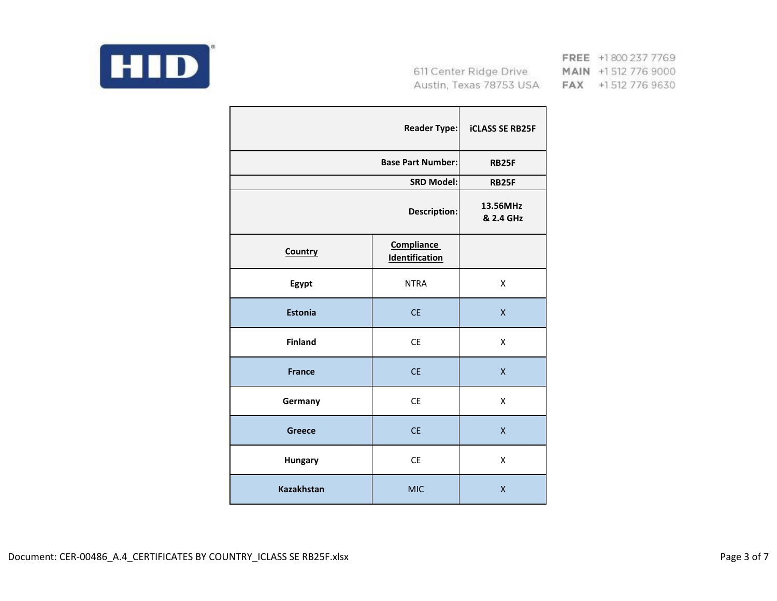

FREE +1800 237 7769 MAIN +1512 776 9000 FAX +1512 776 9630

|                   | <b>Reader Type:</b>                        | <b>iCLASS SE RB25F</b> |
|-------------------|--------------------------------------------|------------------------|
|                   | <b>Base Part Number:</b>                   |                        |
|                   | <b>SRD Model:</b>                          | <b>RB25F</b>           |
|                   | <b>Description:</b>                        | 13.56MHz<br>& 2.4 GHz  |
| Country           | <b>Compliance</b><br><b>Identification</b> |                        |
| Egypt             | <b>NTRA</b>                                | X                      |
| <b>Estonia</b>    | <b>CE</b>                                  | Χ                      |
| <b>Finland</b>    | <b>CE</b>                                  | X                      |
| <b>France</b>     | <b>CE</b>                                  | $\mathsf{x}$           |
| Germany           | <b>CE</b>                                  | X                      |
| <b>Greece</b>     | <b>CE</b>                                  | $\mathsf{x}$           |
| <b>Hungary</b>    | <b>CE</b>                                  | Χ                      |
| <b>Kazakhstan</b> | <b>MIC</b>                                 | X                      |

Document: CER-00486\_A.4\_CERTIFICATES BY COUNTRY\_ICLASS SE RB25F.xlsx extending the state of the control of 7 and 7 and 7 and 7 and 7 and 7 and 7 and 7 and 7 and 7 and 7 and 7 and 7 and 7 and 7 and 7 and 7 and 7 and 7 and 7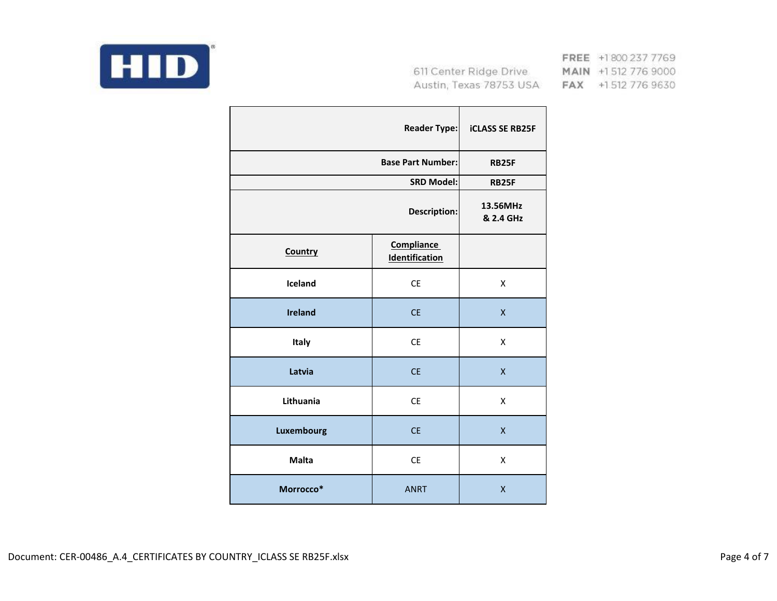

FREE +1800 237 7769 MAIN +1512 776 9000 FAX +1512 776 9630

|                | <b>Reader Type:</b>                        | <b>iCLASS SE RB25F</b> |
|----------------|--------------------------------------------|------------------------|
|                | <b>Base Part Number:</b>                   | <b>RB25F</b>           |
|                | <b>SRD Model:</b>                          | <b>RB25F</b>           |
|                | Description:                               | 13.56MHz<br>& 2.4 GHz  |
| Country        | <b>Compliance</b><br><b>Identification</b> |                        |
| Iceland        | <b>CE</b>                                  | $\pmb{\mathsf{X}}$     |
| <b>Ireland</b> | <b>CE</b>                                  | X                      |
| Italy          | <b>CE</b>                                  | X                      |
| Latvia         | <b>CE</b>                                  | X                      |
| Lithuania      | <b>CE</b>                                  | X                      |
| Luxembourg     | <b>CE</b>                                  | X                      |
| <b>Malta</b>   | <b>CE</b>                                  | X                      |
| Morrocco*      | <b>ANRT</b>                                | X                      |

Document: CER-00486\_A.4\_CERTIFICATES BY COUNTRY\_ICLASS SE RB25F.xlsx extending the state of 7 and 2011 and 201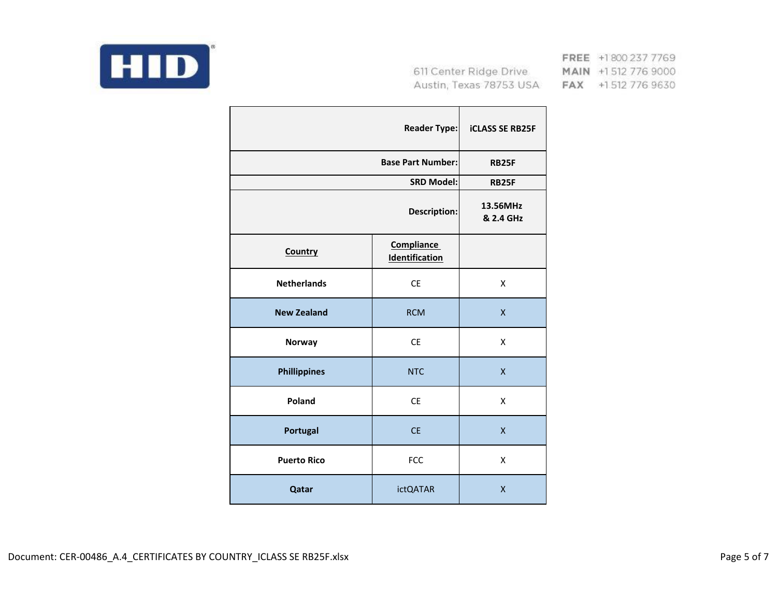

FREE +1800 237 7769 MAIN +1512 776 9000 FAX +1512 776 9630

|                     | <b>Reader Type:</b>                 | <b>iCLASS SE RB25F</b> |
|---------------------|-------------------------------------|------------------------|
|                     | <b>Base Part Number:</b>            | <b>RB25F</b>           |
|                     | <b>SRD Model:</b>                   | <b>RB25F</b>           |
|                     | <b>Description:</b>                 | 13.56MHz<br>& 2.4 GHz  |
| Country             | Compliance<br><b>Identification</b> |                        |
| <b>Netherlands</b>  | <b>CE</b>                           | X                      |
| <b>New Zealand</b>  | <b>RCM</b>                          | X                      |
| <b>Norway</b>       | <b>CE</b>                           | X                      |
| <b>Phillippines</b> | <b>NTC</b>                          | $\mathsf{x}$           |
| Poland              | <b>CE</b>                           | X                      |
| <b>Portugal</b>     | <b>CE</b>                           | X                      |
| <b>Puerto Rico</b>  | <b>FCC</b>                          | Χ                      |
| Qatar               | <b>ictQATAR</b>                     | X                      |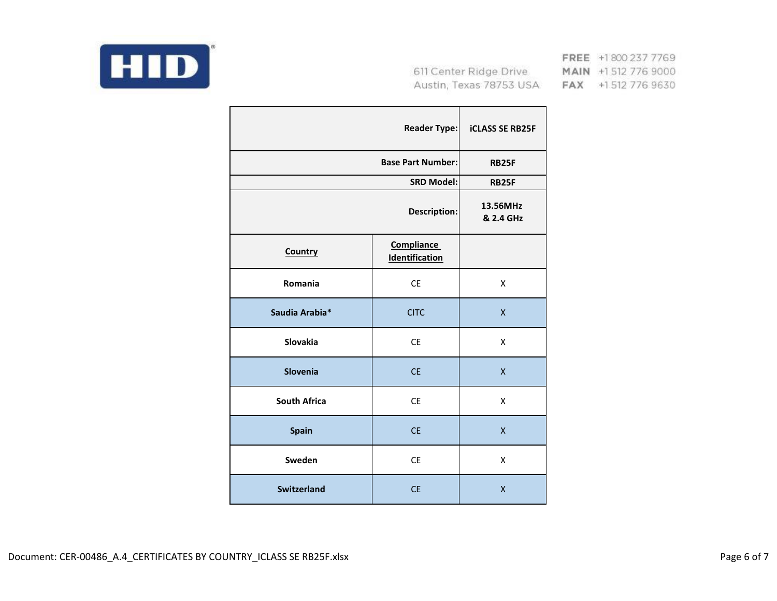

FREE +1800 237 7769 MAIN +1 512 776 9000 FAX +1512 776 9630

|                     | <b>Reader Type:</b>                        | <b>iCLASS SE RB25F</b> |
|---------------------|--------------------------------------------|------------------------|
|                     | <b>Base Part Number:</b>                   | <b>RB25F</b>           |
|                     | <b>SRD Model:</b>                          | <b>RB25F</b>           |
|                     | <b>Description:</b>                        | 13.56MHz<br>& 2.4 GHz  |
| Country             | <b>Compliance</b><br><b>Identification</b> |                        |
| Romania             | <b>CE</b>                                  | X                      |
| Saudia Arabia*      | <b>CITC</b>                                | $\mathsf{x}$           |
| Slovakia            | <b>CE</b>                                  | X                      |
| <b>Slovenia</b>     | <b>CE</b>                                  | $\mathsf{x}$           |
| <b>South Africa</b> | <b>CE</b>                                  | X                      |
| <b>Spain</b>        | <b>CE</b>                                  | X                      |
| Sweden              | <b>CE</b>                                  | X                      |
| <b>Switzerland</b>  | <b>CE</b>                                  | X                      |